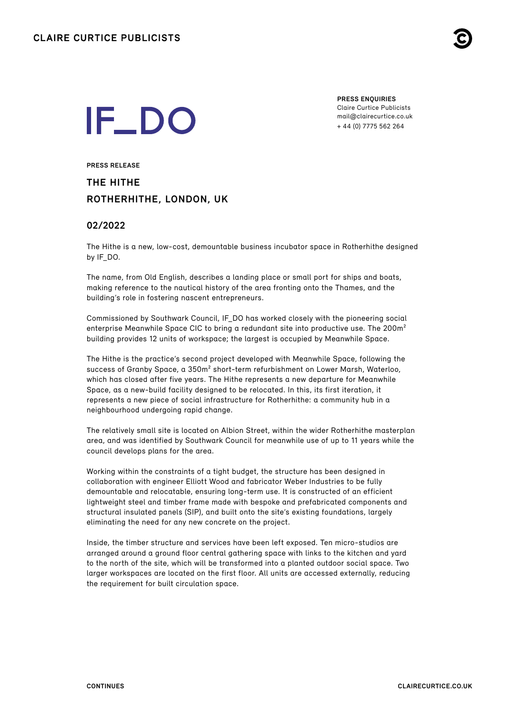

# **IF\_DO**

**PRESS ENQUIRIES** Claire Curtice Publicists [mail@clairecurtice.co.uk](mailto:mail@clairecurtice.co.uk?subject=IF_DO - The Hithe) + 44 (0) 7775 562 264

**PRESS RELEASE THE HITHE ROTHERHITHE, LONDON, UK**

# **02/2022**

The Hithe is a new, low-cost, demountable business incubator space in Rotherhithe designed by IF\_DO.

The name, from Old English, describes a landing place or small port for ships and boats, making reference to the nautical history of the area fronting onto the Thames, and the building's role in fostering nascent entrepreneurs.

Commissioned by Southwark Council, IF\_DO has worked closely with the pioneering social enterprise Meanwhile Space CIC to bring a redundant site into productive use. The 200m<sup>2</sup> building provides 12 units of workspace; the largest is occupied by Meanwhile Space.

The Hithe is the practice's second project developed with Meanwhile Space, following the success of Granby Space, a 350m² short-term refurbishment on Lower Marsh, Waterloo, which has closed after five years. The Hithe represents a new departure for Meanwhile Space, as a new-build facility designed to be relocated. In this, its first iteration, it represents a new piece of social infrastructure for Rotherhithe: a community hub in a neighbourhood undergoing rapid change.

The relatively small site is located on Albion Street, within the wider Rotherhithe masterplan area, and was identified by Southwark Council for meanwhile use of up to 11 years while the council develops plans for the area.

Working within the constraints of a tight budget, the structure has been designed in collaboration with engineer Elliott Wood and fabricator Weber Industries to be fully demountable and relocatable, ensuring long-term use. It is constructed of an efficient lightweight steel and timber frame made with bespoke and prefabricated components and structural insulated panels (SIP), and built onto the site's existing foundations, largely eliminating the need for any new concrete on the project.

Inside, the timber structure and services have been left exposed. Ten micro-studios are arranged around a ground floor central gathering space with links to the kitchen and yard to the north of the site, which will be transformed into a planted outdoor social space. Two larger workspaces are located on the first floor. All units are accessed externally, reducing the requirement for built circulation space.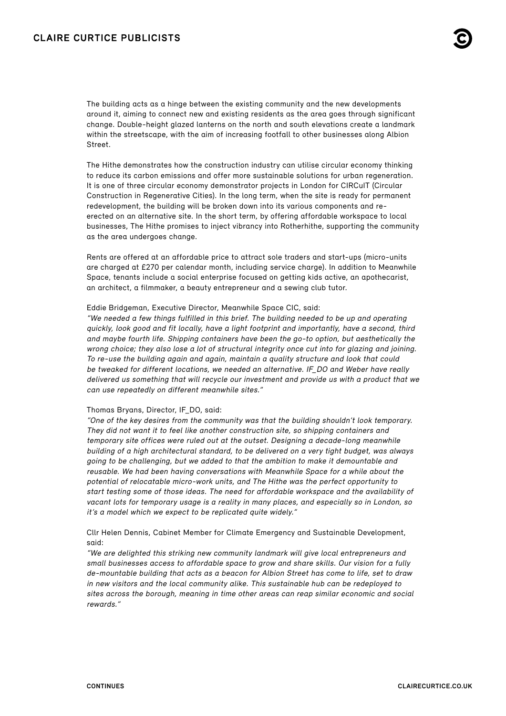The building acts as a hinge between the existing community and the new developments around it, aiming to connect new and existing residents as the area goes through significant change. Double-height glazed lanterns on the north and south elevations create a landmark within the streetscape, with the aim of increasing footfall to other businesses along Albion Street.

The Hithe demonstrates how the construction industry can utilise circular economy thinking to reduce its carbon emissions and offer more sustainable solutions for urban regeneration. It is one of three circular economy demonstrator projects in London for CIRCuIT (Circular Construction in Regenerative Cities). In the long term, when the site is ready for permanent redevelopment, the building will be broken down into its various components and reerected on an alternative site. In the short term, by offering affordable workspace to local businesses, The Hithe promises to inject vibrancy into Rotherhithe, supporting the community as the area undergoes change.

Rents are offered at an affordable price to attract sole traders and start-ups (micro-units are charged at £270 per calendar month, including service charge). In addition to Meanwhile Space, tenants include a social enterprise focused on getting kids active, an apothecarist, an architect, a filmmaker, a beauty entrepreneur and a sewing club tutor.

#### Eddie Bridgeman, Executive Director, Meanwhile Space CIC, said:

"We needed a few things fulfilled in this brief. The building needed to be up and operating quickly, look good and fit locally, have a light footprint and importantly, have a second, third and maybe fourth life. Shipping containers have been the go-to option, but aesthetically the wrong choice; they also lose a lot of structural integrity once cut into for glazing and joining. To re-use the building again and again, maintain a quality structure and look that could be tweaked for different locations, we needed an alternative. IF\_DO and Weber have really delivered us something that will recycle our investment and provide us with a product that we can use repeatedly on different meanwhile sites."

# Thomas Bryans, Director, IF\_DO, said:

"One of the key desires from the community was that the building shouldn't look temporary. They did not want it to feel like another construction site, so shipping containers and temporary site offices were ruled out at the outset. Designing a decade-long meanwhile building of a high architectural standard, to be delivered on a very tight budget, was always going to be challenging, but we added to that the ambition to make it demountable and reusable. We had been having conversations with Meanwhile Space for a while about the potential of relocatable micro-work units, and The Hithe was the perfect opportunity to start testing some of those ideas. The need for affordable workspace and the availability of vacant lots for temporary usage is a reality in many places, and especially so in London, so it's a model which we expect to be replicated quite widely."

Cllr Helen Dennis, Cabinet Member for Climate Emergency and Sustainable Development, said:

"We are delighted this striking new community landmark will give local entrepreneurs and small businesses access to affordable space to grow and share skills. Our vision for a fully de-mountable building that acts as a beacon for Albion Street has come to life, set to draw in new visitors and the local community alike. This sustainable hub can be redeployed to sites across the borough, meaning in time other areas can reap similar economic and social rewards."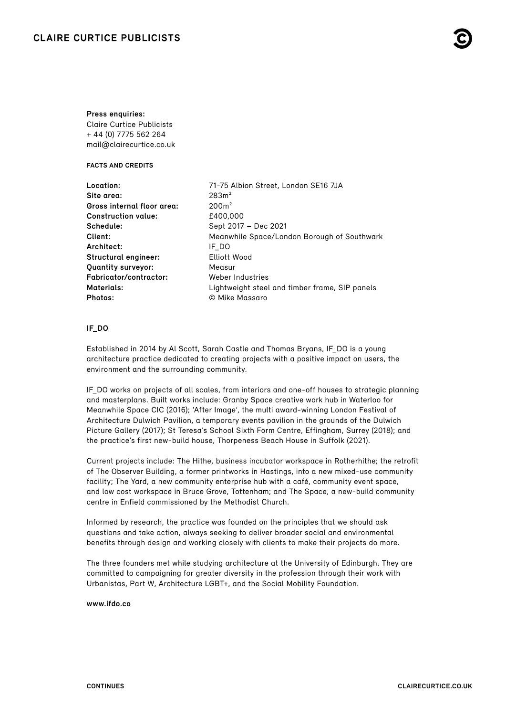# **Press enquiries:**

Claire Curtice Publicists + 44 (0) 7775 562 264 [mail@clairecurtice.co.uk](mailto:mail@clairecurtice.co.uk?subject=IF_DO - The Hithe)

**FACTS AND CREDITS**

| Location:                     | 71-75 Albion Street, London SE16 7JA           |
|-------------------------------|------------------------------------------------|
| Site area:                    | 283m <sup>2</sup>                              |
| Gross internal floor area:    | 200m <sup>2</sup>                              |
| <b>Construction value:</b>    | £400,000                                       |
| Schedule:                     | Sept 2017 - Dec 2021                           |
| Client:                       | Meanwhile Space/London Borough of Southwark    |
| Architect:                    | IF DO                                          |
| Structural engineer:          | Elliott Wood                                   |
| <b>Quantity surveyor:</b>     | Measur                                         |
| <b>Fabricator/contractor:</b> | Weber Industries                               |
| Materials:                    | Lightweight steel and timber frame, SIP panels |
| Photos:                       | © Mike Massaro                                 |
|                               |                                                |

# **IF\_DO**

Established in 2014 by Al Scott, Sarah Castle and Thomas Bryans, IF\_DO is a young architecture practice dedicated to creating projects with a positive impact on users, the environment and the surrounding community.

IF\_DO works on projects of all scales, from interiors and one-off houses to strategic planning and masterplans. Built works include: Granby Space creative work hub in Waterloo for Meanwhile Space CIC (2016); 'After Image', the multi award-winning London Festival of Architecture Dulwich Pavilion, a temporary events pavilion in the grounds of the Dulwich Picture Gallery (2017); St Teresa's School Sixth Form Centre, Effingham, Surrey (2018); and the practice's first new-build house, Thorpeness Beach House in Suffolk (2021).

Current projects include: The Hithe, business incubator workspace in Rotherhithe; the retrofit of The Observer Building, a former printworks in Hastings, into a new mixed-use community facility; The Yard, a new community enterprise hub with a café, community event space, and low cost workspace in Bruce Grove, Tottenham; and The Space, a new-build community centre in Enfield commissioned by the Methodist Church.

Informed by research, the practice was founded on the principles that we should ask questions and take action, always seeking to deliver broader social and environmental benefits through design and working closely with clients to make their projects do more.

The three founders met while studying architecture at the University of Edinburgh. They are committed to campaigning for greater diversity in the profession through their work with Urbanistas, Part W, Architecture LGBT+, and the Social Mobility Foundation.

# **[www.ifdo.co](https://www.ifdo.co)**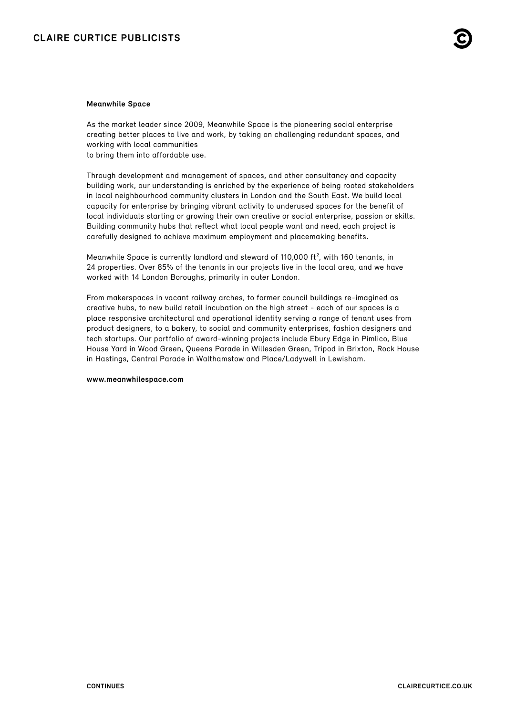# **Meanwhile Space**

As the market leader since 2009, Meanwhile Space is the pioneering social enterprise creating better places to live and work, by taking on challenging redundant spaces, and working with local communities

to bring them into affordable use.

Through development and management of spaces, and other consultancy and capacity building work, our understanding is enriched by the experience of being rooted stakeholders in local neighbourhood community clusters in London and the South East. We build local capacity for enterprise by bringing vibrant activity to underused spaces for the benefit of local individuals starting or growing their own creative or social enterprise, passion or skills. Building community hubs that reflect what local people want and need, each project is carefully designed to achieve maximum employment and placemaking benefits.

Meanwhile Space is currently landlord and steward of 110,000 ft², with 160 tenants, in 24 properties. Over 85% of the tenants in our projects live in the local area, and we have worked with 14 London Boroughs, primarily in outer London.

From makerspaces in vacant railway arches, to former council buildings re-imagined as creative hubs, to new build retail incubation on the high street - each of our spaces is a place responsive architectural and operational identity serving a range of tenant uses from product designers, to a bakery, to social and community enterprises, fashion designers and tech startups. Our portfolio of award-winning projects include Ebury Edge in Pimlico, Blue House Yard in Wood Green, Queens Parade in Willesden Green, Tripod in Brixton, Rock House in Hastings, Central Parade in Walthamstow and Place/Ladywell in Lewisham.

### **[www.meanwhilespace.com](https://www.meanwhilespace.com)**